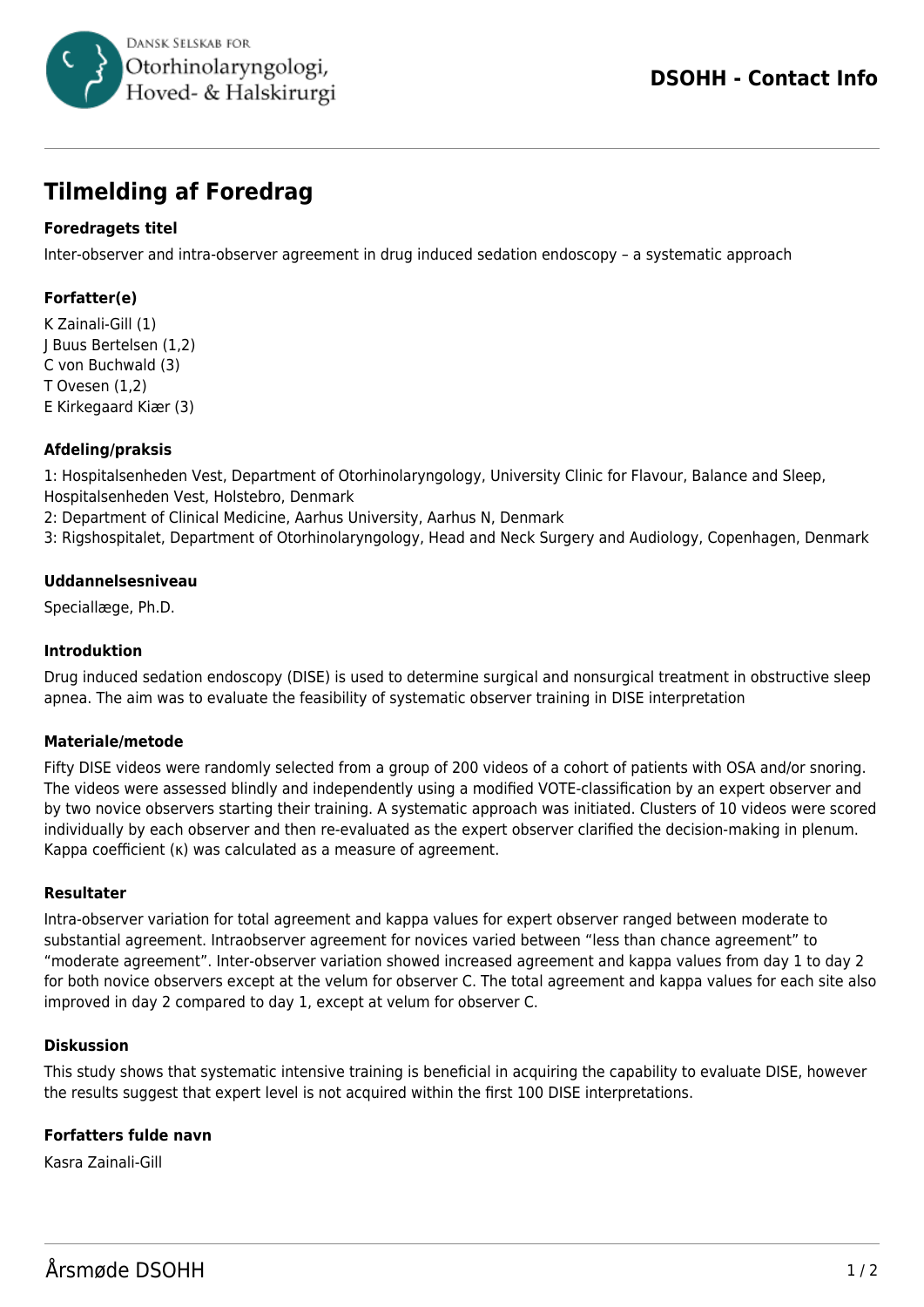

# **Tilmelding af Foredrag**

## **Foredragets titel**

Inter-observer and intra-observer agreement in drug induced sedation endoscopy – a systematic approach

## **Forfatter(e)**

K Zainali-Gill (1) J Buus Bertelsen (1,2) C von Buchwald (3) T Ovesen (1,2) E Kirkegaard Kiær (3)

### **Afdeling/praksis**

1: Hospitalsenheden Vest, Department of Otorhinolaryngology, University Clinic for Flavour, Balance and Sleep, Hospitalsenheden Vest, Holstebro, Denmark

- 2: Department of Clinical Medicine, Aarhus University, Aarhus N, Denmark
- 3: Rigshospitalet, Department of Otorhinolaryngology, Head and Neck Surgery and Audiology, Copenhagen, Denmark

#### **Uddannelsesniveau**

Speciallæge, Ph.D.

#### **Introduktion**

Drug induced sedation endoscopy (DISE) is used to determine surgical and nonsurgical treatment in obstructive sleep apnea. The aim was to evaluate the feasibility of systematic observer training in DISE interpretation

#### **Materiale/metode**

Fifty DISE videos were randomly selected from a group of 200 videos of a cohort of patients with OSA and/or snoring. The videos were assessed blindly and independently using a modified VOTE-classification by an expert observer and by two novice observers starting their training. A systematic approach was initiated. Clusters of 10 videos were scored individually by each observer and then re-evaluated as the expert observer clarified the decision-making in plenum. Kappa coefficient (κ) was calculated as a measure of agreement.

#### **Resultater**

Intra-observer variation for total agreement and kappa values for expert observer ranged between moderate to substantial agreement. Intraobserver agreement for novices varied between "less than chance agreement" to "moderate agreement". Inter-observer variation showed increased agreement and kappa values from day 1 to day 2 for both novice observers except at the velum for observer C. The total agreement and kappa values for each site also improved in day 2 compared to day 1, except at velum for observer C.

#### **Diskussion**

This study shows that systematic intensive training is beneficial in acquiring the capability to evaluate DISE, however the results suggest that expert level is not acquired within the first 100 DISE interpretations.

#### **Forfatters fulde navn**

Kasra Zainali-Gill